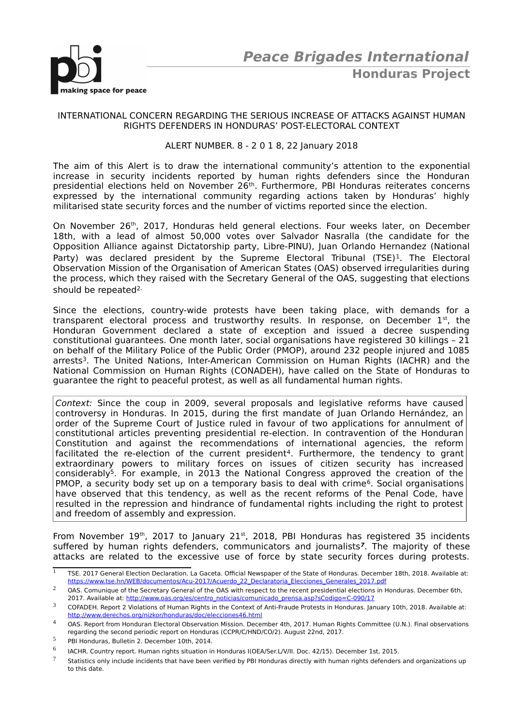

 **Honduras Project**

## INTERNATIONAL CONCERN REGARDING THE SERIOUS INCREASE OF ATTACKS AGAINST HUMAN RIGHTS DEFENDERS IN HONDURAS' POST-ELECTORAL CONTEXT

## ALERT NUMBER. 8 - 2 0 1 8, 22 January 2018

The aim of this Alert is to draw the international community's attention to the exponential increase in security incidents reported by human rights defenders since the Honduran presidential elections held on November 26th. Furthermore, PBI Honduras reiterates concerns expressed by the international community regarding actions taken by Honduras' highly militarised state security forces and the number of victims reported since the election.

On November 26<sup>th</sup>, 2017, Honduras held general elections. Four weeks later, on December 18th, with a lead of almost 50,000 votes over Salvador Nasralla (the candidate for the Opposition Alliance against Dictatorship party, Libre-PINU), Juan Orlando Hernandez (National Party) was declared president by the Supreme Electoral Tribunal  $(TSE)^1$  $(TSE)^1$ . The Electoral Observation Mission of the Organisation of American States (OAS) observed irregularities during the process, which they raised with the Secretary General of the OAS, suggesting that elections should be repeated<sup>[2](#page-0-1).</sup>

Since the elections, country-wide protests have been taking place, with demands for a transparent electoral process and trustworthy results. In response, on December  $1^{st}$ , the Honduran Government declared a state of exception and issued a decree suspending constitutional guarantees. One month later, social organisations have registered 30 killings – 21 on behalf of the Military Police of the Public Order (PMOP), around 232 people injured and 1085 arrests[3](#page-0-2). The United Nations, Inter-American Commission on Human Rights (IACHR) and the National Commission on Human Rights (CONADEH), have called on the State of Honduras to guarantee the right to peaceful protest, as well as all fundamental human rights.

Context: Since the coup in 2009, several proposals and legislative reforms have caused controversy in Honduras. In 2015, during the first mandate of Juan Orlando Hernández, an order of the Supreme Court of Justice ruled in favour of two applications for annulment of constitutional articles preventing presidential re-election. In contravention of the Honduran Constitution and against the recommendations of international agencies, the reform facilitated the re-election of the current president<sup>[4](#page-0-3)</sup>. Furthermore, the tendency to grant extraordinary powers to military forces on issues of citizen security has increased considerably<sup>[5](#page-0-4)</sup>. For example, in 2013 the National Congress approved the creation of the PMOP, a security body set up on a temporary basis to deal with crime<sup>[6](#page-0-5)</sup>. Social organisations have observed that this tendency, as well as the recent reforms of the Penal Code, have resulted in the repression and hindrance of fundamental rights including the right to protest and freedom of assembly and expression.

From November  $19<sup>th</sup>$ , 2017 to January 21 $st$ , 2018, PBI Honduras has registered 35 incidents suffered by human rights defenders, communicators and journalists**[7](#page-0-6)**. The majority of these attacks are related to the excessive use of force by state security forces during protests.

<span id="page-0-0"></span> $\frac{1}{1}$  TSE. 2017 General Election Declaration. La Gaceta. Official Newspaper of the State of Honduras. December 18th, 2018. Available at: [https://www.tse.hn/WEB/documentos/Acu-2017/Acuerdo\\_22\\_Declaratoria\\_Elecciones\\_Generales\\_2017.pdf](https://www.tse.hn/WEB/documentos/Acu-2017/Acuerdo_22_Declaratoria_Elecciones_Generales_2017.pdf)

<span id="page-0-1"></span><sup>2</sup> OAS. Comunique of the Secretary General of the OAS with respect to the recent presidential elections in Honduras. December 6th, 2017. Available at: [http://www.oas.org/es/centro\\_noticias/comunicado\\_prensa.asp?sCodigo=C-090/17](http://www.oas.org/es/centro_noticias/comunicado_prensa.asp?sCodigo=C-090/17)

<span id="page-0-2"></span><sup>3</sup> COFADEH. Report 2 Violations of Human Rights in the Context of Anti-Fraude Protests in Honduras. January 10th, 2018. Available at: <http://www.derechos.org/nizkor/honduras/doc/elecciones46.html>

<span id="page-0-3"></span><sup>4</sup> OAS. Report from Honduran Electoral Observation Mission. December 4th, 2017. Human Rights Committee (U.N.). Final observations regarding the second periodic report on Honduras (CCPR/C/HND/CO/2). August 22nd, 2017.

<span id="page-0-4"></span><sup>5</sup> PBI Honduras, Bulletin 2. December 10th, 2014.

<span id="page-0-5"></span><sup>6</sup> IACHR. Country report. Human rights situation in Honduras I(OEA/Ser.L/V/II. Doc. 42/15). December 1st, 2015.

<span id="page-0-6"></span><sup>7</sup> Statistics only include incidents that have been verified by PBI Honduras directly with human rights defenders and organizations up to this date.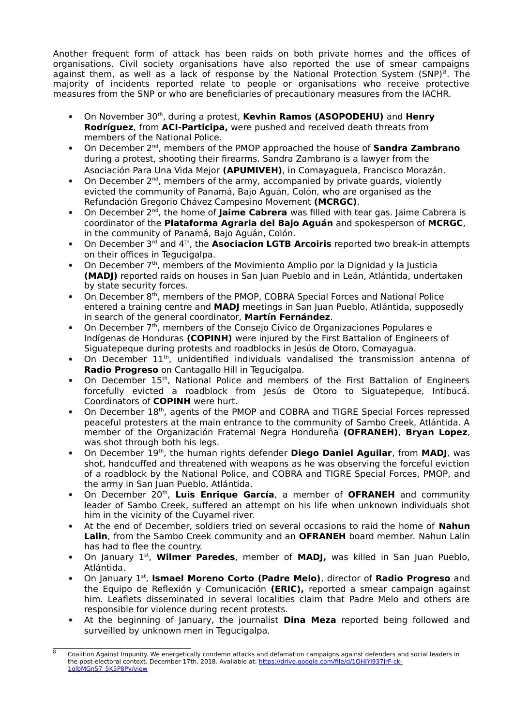Another frequent form of attack has been raids on both private homes and the offices of organisations. Civil society organisations have also reported the use of smear campaigns against them, as well as a lack of response by the National Protection System (SNP)<sup>[8](#page-1-0)</sup>. The majority of incidents reported relate to people or organisations who receive protective measures from the SNP or who are beneficiaries of precautionary measures from the IACHR.

- On November 30th, during a protest, **Kevhin Ramos (ASOPODEHU)** and **Henry Rodríguez**, from **ACI-Participa,** were pushed and received death threats from members of the National Police.
- On December 2<sup>nd</sup>, members of the PMOP approached the house of **Sandra Zambrano** during a protest, shooting their firearms. Sandra Zambrano is a lawyer from the Asociación Para Una Vida Mejor **(APUMIVEH)**, in Comayaguela, Francisco Morazán.
- On December  $2^{nd}$ , members of the army, accompanied by private guards, violently evicted the community of Panamá, Bajo Aguán, Colón, who are organised as the Refundación Gregorio Chávez Campesino Movement **(MCRGC)**.
- On December 2nd, the home of **Jaime Cabrera** was filled with tear gas. Jaime Cabrera is coordinator of the **Plataforma Agraria del Bajo Aguán** and spokesperson of **MCRGC**, in the community of Panamá, Bajo Aguán, Colón.
- On December 3rd and 4th, the **Asociacion LGTB Arcoiris** reported two break-in attempts on their offices in Tegucigalpa.
- On December 7<sup>th</sup>, members of the Movimiento Amplio por la Dignidad y la Justicia **(MADJ)** reported raids on houses in San Juan Pueblo and in Leán, Atlántida, undertaken by state security forces.
- On December 8<sup>th</sup>, members of the PMOP, COBRA Special Forces and National Police entered a training centre and **MADJ** meetings in San Juan Pueblo, Atlántida, supposedly in search of the general coordinator, **Martín Fernández**.
- On December 7<sup>th</sup>, members of the Consejo Cívico de Organizaciones Populares e Indígenas de Honduras **(COPINH)** were injured by the First Battalion of Engineers of Siguatepeque during protests and roadblocks in Jesús de Otoro, Comayagua.
- On December  $11<sup>th</sup>$ , unidentified individuals vandalised the transmission antenna of **Radio Progreso** on Cantagallo Hill in Tegucigalpa.
- On December 15<sup>th</sup>, National Police and members of the First Battalion of Engineers forcefully evicted a roadblock from Jesús de Otoro to Siguatepeque, Intibucá. Coordinators of **COPINH** were hurt.
- On December 18<sup>th</sup>, agents of the PMOP and COBRA and TIGRE Special Forces repressed peaceful protesters at the main entrance to the community of Sambo Creek, Atlántida. A member of the Organización Fraternal Negra Hondureña **(OFRANEH)**, **Bryan Lopez**, was shot through both his legs.
- On December 19th, the human rights defender **Diego Daniel Aguilar**, from **MADJ**, was shot, handcuffed and threatened with weapons as he was observing the forceful eviction of a roadblock by the National Police, and COBRA and TIGRE Special Forces, PMOP, and the army in San Juan Pueblo, Atlántida.
- On December 20<sup>th</sup>, Luis Enrique García, a member of OFRANEH and community leader of Sambo Creek, suffered an attempt on his life when unknown individuals shot him in the vicinity of the Cuyamel river.
- At the end of December, soldiers tried on several occasions to raid the home of **Nahun Lalin**, from the Sambo Creek community and an **OFRANEH** board member. Nahun Lalin has had to flee the country.
- On January 1st, **Wilmer Paredes**, member of **MADJ,** was killed in San Juan Pueblo, Atlántida.
- **•** On January 1st, Ismael Moreno Corto (Padre Melo), director of Radio Progreso and the Equipo de Reflexión y Comunicación **(ERIC),** reported a smear campaign against him. Leaflets disseminated in several localities claim that Padre Melo and others are responsible for violence during recent protests.
- At the beginning of January, the journalist **Dina Meza** reported being followed and surveilled by unknown men in Tegucigalpa.

<span id="page-1-0"></span>Coalition Against Impunity. We energetically condemn attacks and defamation campaigns against defenders and social leaders in the post-electoral context. December 17th, 2018. Available at: [https://drive.google.com/file/d/1QHJYi937JrF-ck-](https://drive.google.com/file/d/1QHJYi937JrF-ck-1gIbMGn57_5K5P8Py/view)[1gIbMGn57\\_5K5P8Py/view](https://drive.google.com/file/d/1QHJYi937JrF-ck-1gIbMGn57_5K5P8Py/view)